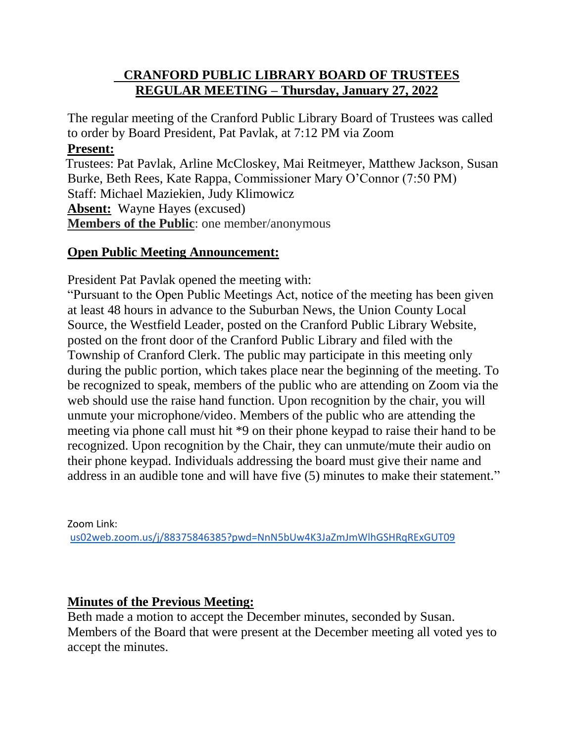## **CRANFORD PUBLIC LIBRARY BOARD OF TRUSTEES REGULAR MEETING – Thursday, January 27, 2022**

The regular meeting of the Cranford Public Library Board of Trustees was called to order by Board President, Pat Pavlak, at 7:12 PM via Zoom

### **Present:**

 Trustees: Pat Pavlak, Arline McCloskey, Mai Reitmeyer, Matthew Jackson, Susan Burke, Beth Rees, Kate Rappa, Commissioner Mary O'Connor (7:50 PM) Staff: Michael Maziekien, Judy Klimowicz **Absent:** Wayne Hayes (excused) **Members of the Public**: one member/anonymous

## **Open Public Meeting Announcement:**

President Pat Pavlak opened the meeting with:

"Pursuant to the Open Public Meetings Act, notice of the meeting has been given at least 48 hours in advance to the Suburban News, the Union County Local Source, the Westfield Leader, posted on the Cranford Public Library Website, posted on the front door of the Cranford Public Library and filed with the Township of Cranford Clerk. The public may participate in this meeting only during the public portion, which takes place near the beginning of the meeting. To be recognized to speak, members of the public who are attending on Zoom via the web should use the raise hand function. Upon recognition by the chair, you will unmute your microphone/video. Members of the public who are attending the meeting via phone call must hit \*9 on their phone keypad to raise their hand to be recognized. Upon recognition by the Chair, they can unmute/mute their audio on their phone keypad. Individuals addressing the board must give their name and address in an audible tone and will have five (5) minutes to make their statement."

Zoom Link: [us02web.zoom.us/j/88375846385?pwd=NnN5bUw4K3JaZmJmWlhGSHRqRExGUT09](http://us02web.zoom.us/j/88375846385?pwd=NnN5bUw4K3JaZmJmWlhGSHRqRExGUT09)

## **Minutes of the Previous Meeting:**

Beth made a motion to accept the December minutes, seconded by Susan. Members of the Board that were present at the December meeting all voted yes to accept the minutes.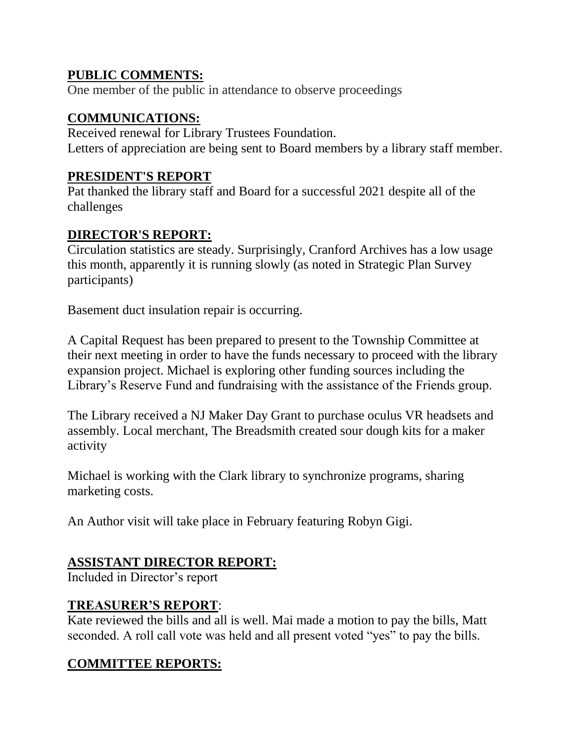## **PUBLIC COMMENTS:**

One member of the public in attendance to observe proceedings

## **COMMUNICATIONS:**

Received renewal for Library Trustees Foundation. Letters of appreciation are being sent to Board members by a library staff member.

## **PRESIDENT'S REPORT**

Pat thanked the library staff and Board for a successful 2021 despite all of the challenges

## **DIRECTOR'S REPORT:**

Circulation statistics are steady. Surprisingly, Cranford Archives has a low usage this month, apparently it is running slowly (as noted in Strategic Plan Survey participants)

Basement duct insulation repair is occurring.

A Capital Request has been prepared to present to the Township Committee at their next meeting in order to have the funds necessary to proceed with the library expansion project. Michael is exploring other funding sources including the Library's Reserve Fund and fundraising with the assistance of the Friends group.

The Library received a NJ Maker Day Grant to purchase oculus VR headsets and assembly. Local merchant, The Breadsmith created sour dough kits for a maker activity

Michael is working with the Clark library to synchronize programs, sharing marketing costs.

An Author visit will take place in February featuring Robyn Gigi.

## **ASSISTANT DIRECTOR REPORT:**

Included in Director's report

## **TREASURER'S REPORT**:

Kate reviewed the bills and all is well. Mai made a motion to pay the bills, Matt seconded. A roll call vote was held and all present voted "yes" to pay the bills.

## **COMMITTEE REPORTS:**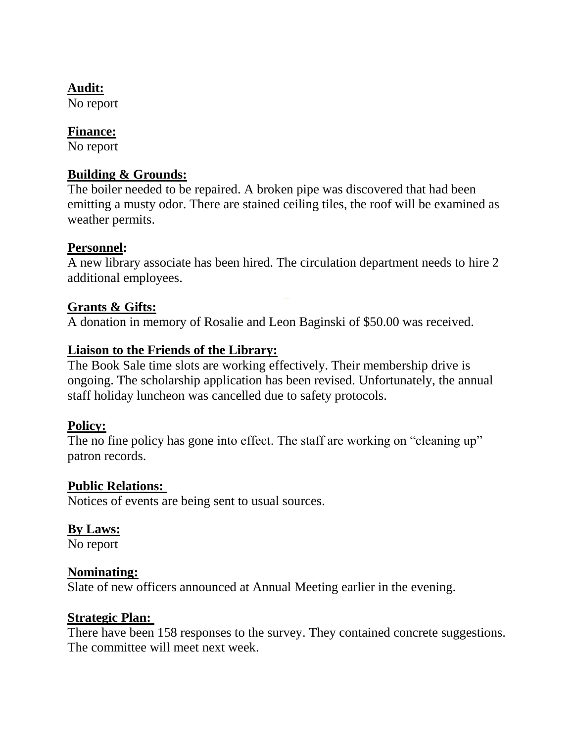#### **Audit:**

No report

## **Finance:**

No report

## **Building & Grounds:**

The boiler needed to be repaired. A broken pipe was discovered that had been emitting a musty odor. There are stained ceiling tiles, the roof will be examined as weather permits.

#### **Personnel:**

A new library associate has been hired. The circulation department needs to hire 2 additional employees.

#### **Grants & Gifts:**

A donation in memory of Rosalie and Leon Baginski of \$50.00 was received.

#### **Liaison to the Friends of the Library:**

The Book Sale time slots are working effectively. Their membership drive is ongoing. The scholarship application has been revised. Unfortunately, the annual staff holiday luncheon was cancelled due to safety protocols.

## **Policy:**

The no fine policy has gone into effect. The staff are working on "cleaning up" patron records.

## **Public Relations:**

Notices of events are being sent to usual sources.

# **By Laws:**

No report

#### **Nominating:**

Slate of new officers announced at Annual Meeting earlier in the evening.

#### **Strategic Plan:**

There have been 158 responses to the survey. They contained concrete suggestions. The committee will meet next week.